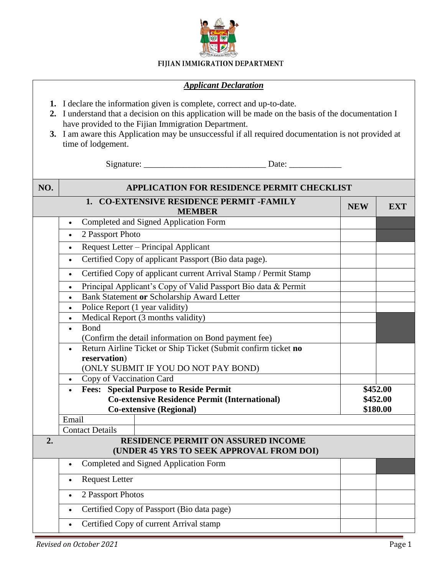

## FIJIAN IMMIGRATION DEPARTMENT

## *Applicant Declaration*

- **1.** I declare the information given is complete, correct and up-to-date.
- **2.** I understand that a decision on this application will be made on the basis of the documentation I have provided to the Fijian Immigration Department.
- **3.** I am aware this Application may be unsuccessful if all required documentation is not provided at time of lodgement.

Signature: \_\_\_\_\_\_\_\_\_\_\_\_\_\_\_\_\_\_\_\_\_\_\_\_\_\_\_\_ Date: \_\_\_\_\_\_\_\_\_\_\_\_

| NO. | APPLICATION FOR RESIDENCE PERMIT CHECKLIST                                            |            |            |  |  |
|-----|---------------------------------------------------------------------------------------|------------|------------|--|--|
|     | 1. CO-EXTENSIVE RESIDENCE PERMIT -FAMILY<br><b>MEMBER</b>                             | <b>NEW</b> | <b>EXT</b> |  |  |
|     | Completed and Signed Application Form<br>$\bullet$                                    |            |            |  |  |
|     | 2 Passport Photo<br>$\bullet$                                                         |            |            |  |  |
|     | Request Letter - Principal Applicant<br>$\bullet$                                     |            |            |  |  |
|     | Certified Copy of applicant Passport (Bio data page).<br>$\bullet$                    |            |            |  |  |
|     | Certified Copy of applicant current Arrival Stamp / Permit Stamp<br>$\bullet$         |            |            |  |  |
|     | Principal Applicant's Copy of Valid Passport Bio data & Permit<br>$\bullet$           |            |            |  |  |
|     | Bank Statement or Scholarship Award Letter<br>$\bullet$                               |            |            |  |  |
|     | Police Report (1 year validity)<br>$\bullet$                                          |            |            |  |  |
|     | Medical Report (3 months validity)                                                    |            |            |  |  |
|     | <b>Bond</b><br>$\bullet$                                                              |            |            |  |  |
|     | (Confirm the detail information on Bond payment fee)                                  |            |            |  |  |
|     | Return Airline Ticket or Ship Ticket (Submit confirm ticket no<br>$\bullet$           |            |            |  |  |
|     | reservation)                                                                          |            |            |  |  |
|     | (ONLY SUBMIT IF YOU DO NOT PAY BOND)<br>Copy of Vaccination Card                      |            |            |  |  |
|     | <b>Fees: Special Purpose to Reside Permit</b>                                         |            | \$452.00   |  |  |
|     | <b>Co-extensive Residence Permit (International)</b>                                  |            | \$452.00   |  |  |
|     | <b>Co-extensive (Regional)</b>                                                        |            | \$180.00   |  |  |
|     | Email                                                                                 |            |            |  |  |
|     | <b>Contact Details</b>                                                                |            |            |  |  |
| 2.  | <b>RESIDENCE PERMIT ON ASSURED INCOME</b><br>(UNDER 45 YRS TO SEEK APPROVAL FROM DOI) |            |            |  |  |
|     | Completed and Signed Application Form<br>$\bullet$                                    |            |            |  |  |
|     | <b>Request Letter</b><br>$\bullet$                                                    |            |            |  |  |
|     | 2 Passport Photos<br>$\bullet$                                                        |            |            |  |  |
|     | Certified Copy of Passport (Bio data page)<br>$\bullet$                               |            |            |  |  |
|     | Certified Copy of current Arrival stamp<br>$\bullet$                                  |            |            |  |  |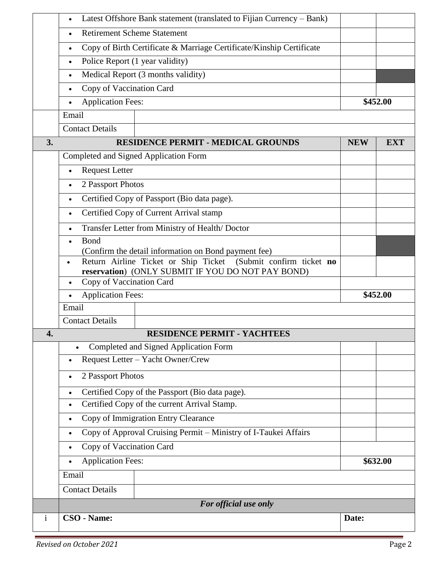|              | Latest Offshore Bank statement (translated to Fijian Currency – Bank)<br>$\bullet$                                                  |            |            |  |  |
|--------------|-------------------------------------------------------------------------------------------------------------------------------------|------------|------------|--|--|
|              | <b>Retirement Scheme Statement</b><br>$\bullet$                                                                                     |            |            |  |  |
|              | Copy of Birth Certificate & Marriage Certificate/Kinship Certificate<br>$\bullet$                                                   |            |            |  |  |
|              | Police Report (1 year validity)<br>$\bullet$                                                                                        |            |            |  |  |
|              | Medical Report (3 months validity)<br>$\bullet$                                                                                     |            |            |  |  |
|              | Copy of Vaccination Card<br>$\bullet$                                                                                               |            |            |  |  |
|              | <b>Application Fees:</b><br>$\bullet$                                                                                               |            | \$452.00   |  |  |
|              | Email                                                                                                                               |            |            |  |  |
|              | <b>Contact Details</b>                                                                                                              |            |            |  |  |
| 3.           | <b>RESIDENCE PERMIT - MEDICAL GROUNDS</b>                                                                                           | <b>NEW</b> | <b>EXT</b> |  |  |
|              | Completed and Signed Application Form                                                                                               |            |            |  |  |
|              | <b>Request Letter</b><br>$\bullet$                                                                                                  |            |            |  |  |
|              | 2 Passport Photos<br>$\bullet$                                                                                                      |            |            |  |  |
|              | Certified Copy of Passport (Bio data page).<br>$\bullet$                                                                            |            |            |  |  |
|              | Certified Copy of Current Arrival stamp<br>$\bullet$                                                                                |            |            |  |  |
|              | Transfer Letter from Ministry of Health/Doctor<br>$\bullet$                                                                         |            |            |  |  |
|              | Bond<br>$\bullet$                                                                                                                   |            |            |  |  |
|              | (Confirm the detail information on Bond payment fee)<br>Return Airline Ticket or Ship Ticket (Submit confirm ticket no<br>$\bullet$ |            |            |  |  |
|              | reservation) (ONLY SUBMIT IF YOU DO NOT PAY BOND)                                                                                   |            |            |  |  |
|              | Copy of Vaccination Card<br>$\bullet$                                                                                               |            |            |  |  |
|              | <b>Application Fees:</b><br>$\bullet$                                                                                               |            | \$452.00   |  |  |
|              | Email                                                                                                                               |            |            |  |  |
|              | <b>Contact Details</b>                                                                                                              |            |            |  |  |
| 4.           | <b>RESIDENCE PERMIT - YACHTEES</b>                                                                                                  |            |            |  |  |
|              | Completed and Signed Application Form                                                                                               |            |            |  |  |
|              | Request Letter - Yacht Owner/Crew<br>$\bullet$                                                                                      |            |            |  |  |
|              | 2 Passport Photos<br>$\bullet$                                                                                                      |            |            |  |  |
|              | Certified Copy of the Passport (Bio data page).<br>$\bullet$                                                                        |            |            |  |  |
|              | Certified Copy of the current Arrival Stamp.<br>$\bullet$                                                                           |            |            |  |  |
|              | Copy of Immigration Entry Clearance<br>$\bullet$                                                                                    |            |            |  |  |
|              | Copy of Approval Cruising Permit – Ministry of I-Taukei Affairs<br>$\bullet$                                                        |            |            |  |  |
|              | Copy of Vaccination Card<br>$\bullet$                                                                                               |            |            |  |  |
|              | <b>Application Fees:</b>                                                                                                            | \$632.00   |            |  |  |
|              | Email                                                                                                                               |            |            |  |  |
|              | <b>Contact Details</b>                                                                                                              |            |            |  |  |
|              | For official use only                                                                                                               |            |            |  |  |
| $\mathbf{i}$ | CSO - Name:<br>Date:                                                                                                                |            |            |  |  |